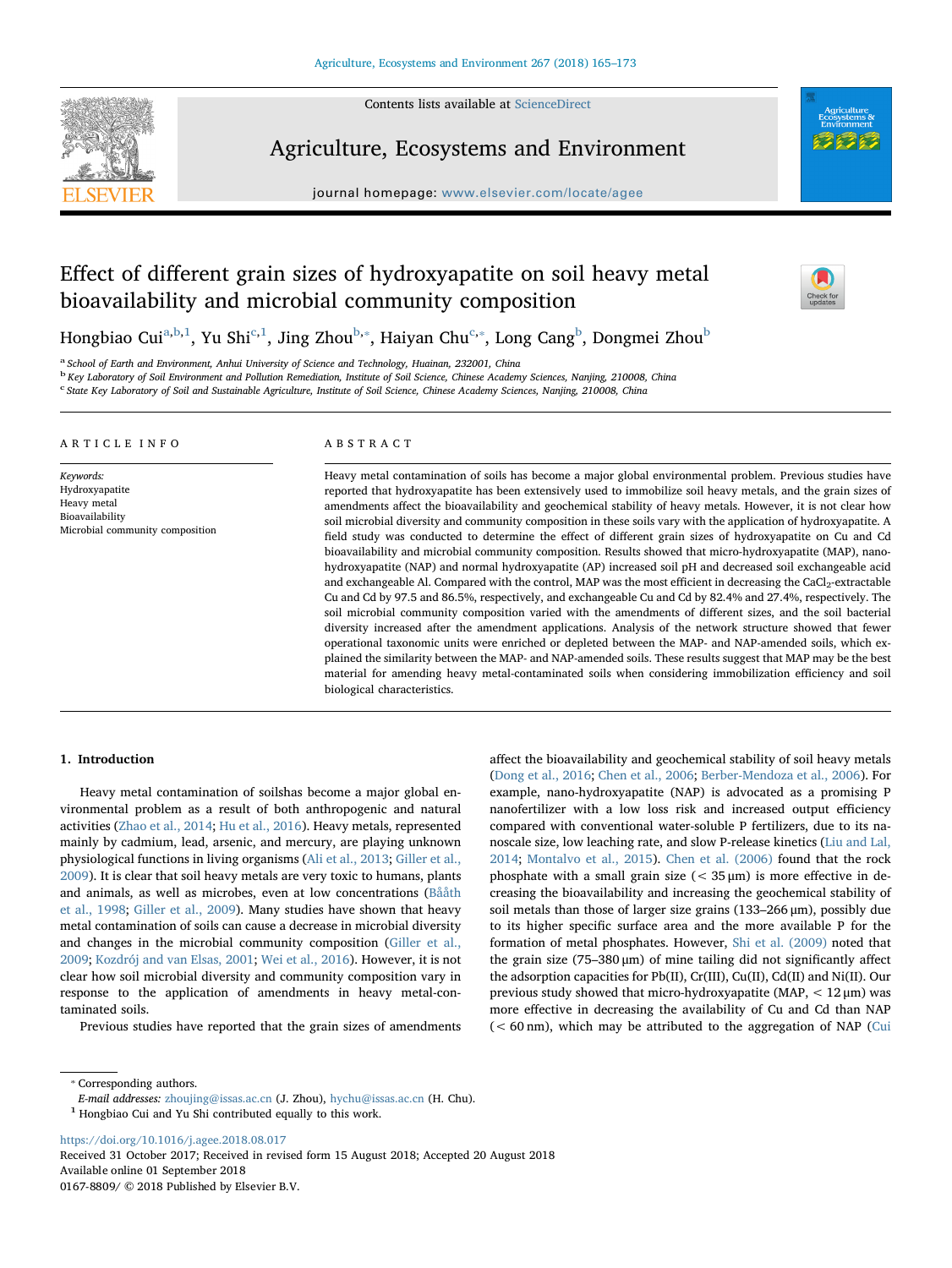

Contents lists available at [ScienceDirect](http://www.sciencedirect.com/science/journal/01678809)

Agriculture, Ecosystems and Environment

journal homepage: [www.elsevier.com/locate/agee](https://www.elsevier.com/locate/agee)

# Effect of different grain sizes of hydroxyapatite on soil heavy metal bioavailability and microbial community composition



Hongbi[a](#page-0-0)o Cui<sup>a,[b](#page-0-1)[,1](#page-0-2)</sup>, Yu Shi<sup>[c,](#page-0-3)[1](#page-0-2)</sup>, Jing Zhou<sup>b,</sup>\*, Haiyan Chu<sup>[c](#page-0-3),</sup>\*, Long Cang<sup>b</sup>, Dongmei Zhou<sup>b</sup>

<span id="page-0-0"></span><sup>a</sup> School of Earth and Environment, Anhui University of Science and Technology, Huainan, 232001, China

<span id="page-0-1"></span>b Key Laboratory of Soil Environment and Pollution Remediation, Institute of Soil Science, Chinese Academy Sciences, Nanjing, 210008, China

<span id="page-0-3"></span><sup>c</sup> State Key Laboratory of Soil and Sustainable Agriculture, Institute of Soil Science, Chinese Academy Sciences, Nanjing, 210008, China

| ARTICLE INFO                                                                                     | ABSTRACT                                                                                                                                                                                                                                                                                                                                                                                                                                                                                                                                                                                                                                                                                                                                                                                                                                                                                                                                                                                                                                                                                                                                                                                                                                                                                                                                                                                                                                                                                                                                                                                                                                                  |
|--------------------------------------------------------------------------------------------------|-----------------------------------------------------------------------------------------------------------------------------------------------------------------------------------------------------------------------------------------------------------------------------------------------------------------------------------------------------------------------------------------------------------------------------------------------------------------------------------------------------------------------------------------------------------------------------------------------------------------------------------------------------------------------------------------------------------------------------------------------------------------------------------------------------------------------------------------------------------------------------------------------------------------------------------------------------------------------------------------------------------------------------------------------------------------------------------------------------------------------------------------------------------------------------------------------------------------------------------------------------------------------------------------------------------------------------------------------------------------------------------------------------------------------------------------------------------------------------------------------------------------------------------------------------------------------------------------------------------------------------------------------------------|
| Keywords:<br>Hydroxyapatite<br>Heavy metal<br>Bioavailability<br>Microbial community composition | Heavy metal contamination of soils has become a major global environmental problem. Previous studies have<br>reported that hydroxyapatite has been extensively used to immobilize soil heavy metals, and the grain sizes of<br>amendments affect the bioavailability and geochemical stability of heavy metals. However, it is not clear how<br>soil microbial diversity and community composition in these soils vary with the application of hydroxyapatite. A<br>field study was conducted to determine the effect of different grain sizes of hydroxyapatite on Cu and Cd<br>bioavailability and microbial community composition. Results showed that micro-hydroxyapatite (MAP), nano-<br>hydroxyapatite (NAP) and normal hydroxyapatite (AP) increased soil pH and decreased soil exchangeable acid<br>and exchangeable Al. Compared with the control, MAP was the most efficient in decreasing the CaCl <sub>2</sub> -extractable<br>Cu and Cd by 97.5 and 86.5%, respectively, and exchangeable Cu and Cd by 82.4% and 27.4%, respectively. The<br>soil microbial community composition varied with the amendments of different sizes, and the soil bacterial<br>diversity increased after the amendment applications. Analysis of the network structure showed that fewer<br>operational taxonomic units were enriched or depleted between the MAP- and NAP-amended soils, which ex-<br>plained the similarity between the MAP- and NAP-amended soils. These results suggest that MAP may be the best<br>material for amending heavy metal-contaminated soils when considering immobilization efficiency and soil<br>biological characteristics. |

### 1. Introduction

Heavy metal contamination of soilshas become a major global environmental problem as a result of both anthropogenic and natural activities [\(Zhao et al., 2014](#page--1-0); [Hu et al., 2016\)](#page--1-1). Heavy metals, represented mainly by cadmium, lead, arsenic, and mercury, are playing unknown physiological functions in living organisms [\(Ali et al., 2013](#page--1-2); [Giller et al.,](#page--1-3) [2009\)](#page--1-3). It is clear that soil heavy metals are very toxic to humans, plants and animals, as well as microbes, even at low concentrations [\(Bååth](#page--1-4) [et al., 1998;](#page--1-4) [Giller et al., 2009\)](#page--1-3). Many studies have shown that heavy metal contamination of soils can cause a decrease in microbial diversity and changes in the microbial community composition ([Giller et al.,](#page--1-3) [2009;](#page--1-3) [Kozdrój and van Elsas, 2001](#page--1-5); [Wei et al., 2016\)](#page--1-6). However, it is not clear how soil microbial diversity and community composition vary in response to the application of amendments in heavy metal-contaminated soils.

Previous studies have reported that the grain sizes of amendments

affect the bioavailability and geochemical stability of soil heavy metals ([Dong et al., 2016](#page--1-7); [Chen et al., 2006](#page--1-8); [Berber-Mendoza et al., 2006\)](#page--1-9). For example, nano-hydroxyapatite (NAP) is advocated as a promising P nanofertilizer with a low loss risk and increased output efficiency compared with conventional water-soluble P fertilizers, due to its nanoscale size, low leaching rate, and slow P-release kinetics [\(Liu and Lal,](#page--1-10) [2014;](#page--1-10) [Montalvo et al., 2015\)](#page--1-11). [Chen et al. \(2006\)](#page--1-8) found that the rock phosphate with a small grain size  $(< 35 \,\text{\ensuremath{\mu}m})$  is more effective in decreasing the bioavailability and increasing the geochemical stability of soil metals than those of larger size grains (133–266 μm), possibly due to its higher specific surface area and the more available P for the formation of metal phosphates. However, [Shi et al. \(2009\)](#page--1-12) noted that the grain size (75–380 μm) of mine tailing did not significantly affect the adsorption capacities for Pb(II), Cr(III), Cu(II), Cd(II) and Ni(II). Our previous study showed that micro-hydroxyapatite (MAP,  $< 12 \mu m$ ) was more effective in decreasing the availability of Cu and Cd than NAP (< 60 nm), which may be attributed to the aggregation of NAP ([Cui](#page--1-13)

<https://doi.org/10.1016/j.agee.2018.08.017>

Received 31 October 2017; Received in revised form 15 August 2018; Accepted 20 August 2018 Available online 01 September 2018

0167-8809/ © 2018 Published by Elsevier B.V.

<span id="page-0-4"></span><sup>⁎</sup> Corresponding authors.

E-mail addresses: [zhoujing@issas.ac.cn](mailto:zhoujing@issas.ac.cn) (J. Zhou), [hychu@issas.ac.cn](mailto:hychu@issas.ac.cn) (H. Chu).

<span id="page-0-2"></span> $^{\rm 1}$  Hongbiao Cui and Yu Shi contributed equally to this work.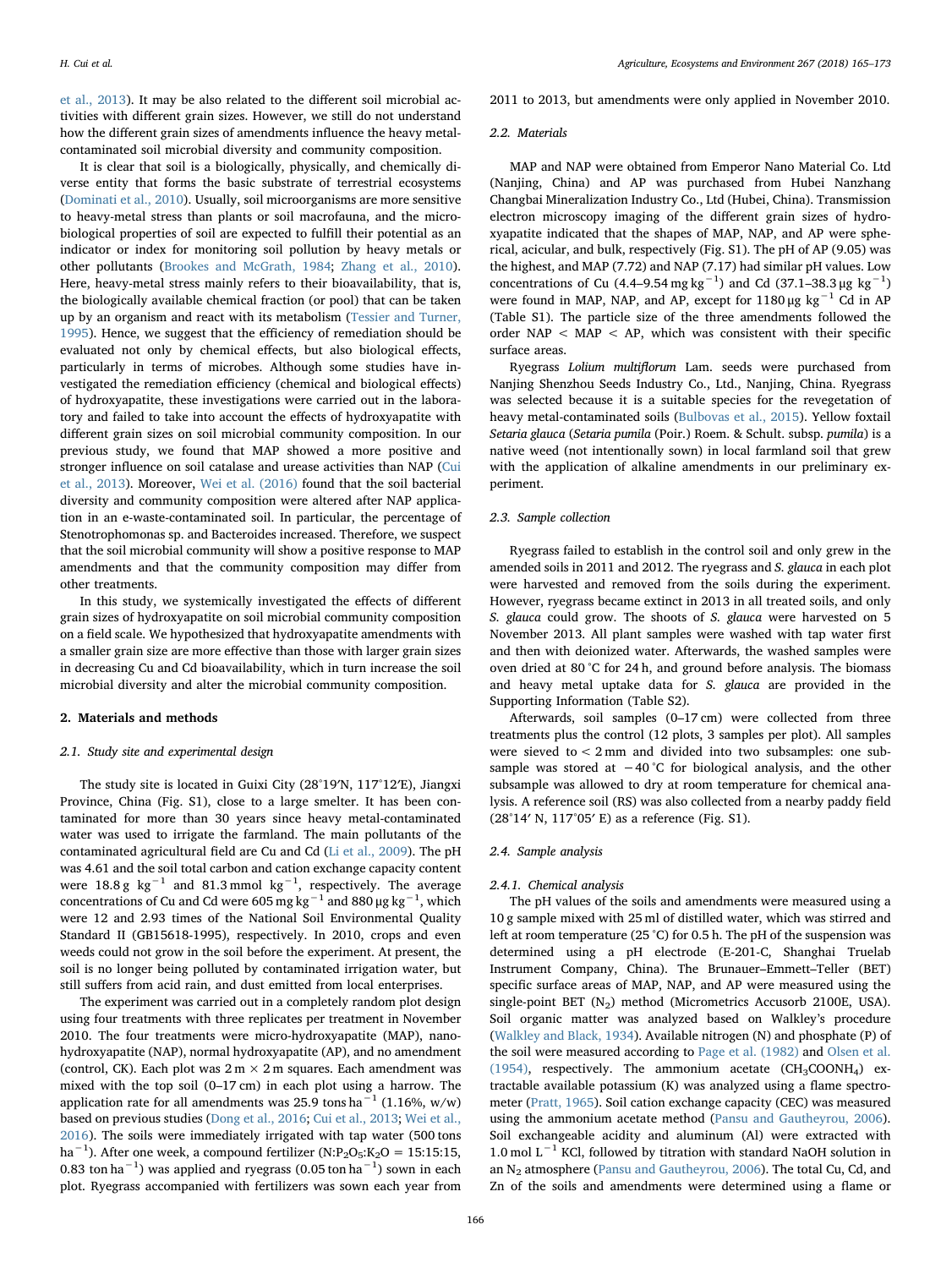[et al., 2013\)](#page--1-13). It may be also related to the different soil microbial activities with different grain sizes. However, we still do not understand how the different grain sizes of amendments influence the heavy metalcontaminated soil microbial diversity and community composition.

It is clear that soil is a biologically, physically, and chemically diverse entity that forms the basic substrate of terrestrial ecosystems ([Dominati et al., 2010\)](#page--1-14). Usually, soil microorganisms are more sensitive to heavy-metal stress than plants or soil macrofauna, and the microbiological properties of soil are expected to fulfill their potential as an indicator or index for monitoring soil pollution by heavy metals or other pollutants ([Brookes and McGrath, 1984](#page--1-15); [Zhang et al., 2010](#page--1-16)). Here, heavy-metal stress mainly refers to their bioavailability, that is, the biologically available chemical fraction (or pool) that can be taken up by an organism and react with its metabolism ([Tessier and Turner,](#page--1-17) [1995\)](#page--1-17). Hence, we suggest that the efficiency of remediation should be evaluated not only by chemical effects, but also biological effects, particularly in terms of microbes. Although some studies have investigated the remediation efficiency (chemical and biological effects) of hydroxyapatite, these investigations were carried out in the laboratory and failed to take into account the effects of hydroxyapatite with different grain sizes on soil microbial community composition. In our previous study, we found that MAP showed a more positive and stronger influence on soil catalase and urease activities than NAP ([Cui](#page--1-13) [et al., 2013](#page--1-13)). Moreover, [Wei et al. \(2016\)](#page--1-6) found that the soil bacterial diversity and community composition were altered after NAP application in an e-waste-contaminated soil. In particular, the percentage of Stenotrophomonas sp. and Bacteroides increased. Therefore, we suspect that the soil microbial community will show a positive response to MAP amendments and that the community composition may differ from other treatments.

In this study, we systemically investigated the effects of different grain sizes of hydroxyapatite on soil microbial community composition on a field scale. We hypothesized that hydroxyapatite amendments with a smaller grain size are more effective than those with larger grain sizes in decreasing Cu and Cd bioavailability, which in turn increase the soil microbial diversity and alter the microbial community composition.

## 2. Materials and methods

#### 2.1. Study site and experimental design

The study site is located in Guixi City (28°19′N, 117°12′E), Jiangxi Province, China (Fig. S1), close to a large smelter. It has been contaminated for more than 30 years since heavy metal-contaminated water was used to irrigate the farmland. The main pollutants of the contaminated agricultural field are Cu and Cd ([Li et al., 2009](#page--1-18)). The pH was 4.61 and the soil total carbon and cation exchange capacity content were 18.8 g  $kg^{-1}$  and 81.3 mmol  $kg^{-1}$ , respectively. The average concentrations of Cu and Cd were 605 mg kg $^{-1}$  and 880 μg kg $^{-1}$ , which were 12 and 2.93 times of the National Soil Environmental Quality Standard II (GB15618-1995), respectively. In 2010, crops and even weeds could not grow in the soil before the experiment. At present, the soil is no longer being polluted by contaminated irrigation water, but still suffers from acid rain, and dust emitted from local enterprises.

The experiment was carried out in a completely random plot design using four treatments with three replicates per treatment in November 2010. The four treatments were micro-hydroxyapatite (MAP), nanohydroxyapatite (NAP), normal hydroxyapatite (AP), and no amendment (control, CK). Each plot was  $2 \text{ m} \times 2 \text{ m}$  squares. Each amendment was mixed with the top soil (0–17 cm) in each plot using a harrow. The application rate for all amendments was 25.9 tons ha<sup> $-1$ </sup> (1.16%, w/w) based on previous studies ([Dong et al., 2016;](#page--1-7) [Cui et al., 2013](#page--1-13); [Wei et al.,](#page--1-6) [2016\)](#page--1-6). The soils were immediately irrigated with tap water (500 tons ha<sup>-1</sup>). After one week, a compound fertilizer (N:P<sub>2</sub>O<sub>5</sub>:K<sub>2</sub>O = 15:15:15, 0.83 ton ha $^{-1}$ ) was applied and ryegrass (0.05 ton ha $^{-1}$ ) sown in each plot. Ryegrass accompanied with fertilizers was sown each year from

2011 to 2013, but amendments were only applied in November 2010.

#### 2.2. Materials

MAP and NAP were obtained from Emperor Nano Material Co. Ltd (Nanjing, China) and AP was purchased from Hubei Nanzhang Changbai Mineralization Industry Co., Ltd (Hubei, China). Transmission electron microscopy imaging of the different grain sizes of hydroxyapatite indicated that the shapes of MAP, NAP, and AP were spherical, acicular, and bulk, respectively (Fig. S1). The pH of AP (9.05) was the highest, and MAP (7.72) and NAP (7.17) had similar pH values. Low concentrations of Cu (4.4–9.54 mg kg<sup>-1</sup>) and Cd (37.1–38.3 μg kg<sup>-1</sup>) were found in MAP, NAP, and AP, except for 1180 μg  $kg^{-1}$  Cd in AP (Table S1). The particle size of the three amendments followed the order NAP  $<$  MAP  $<$  AP, which was consistent with their specific surface areas.

Ryegrass Lolium multiflorum Lam. seeds were purchased from Nanjing Shenzhou Seeds Industry Co., Ltd., Nanjing, China. Ryegrass was selected because it is a suitable species for the revegetation of heavy metal-contaminated soils ([Bulbovas et al., 2015](#page--1-19)). Yellow foxtail Setaria glauca (Setaria pumila (Poir.) Roem. & Schult. subsp. pumila) is a native weed (not intentionally sown) in local farmland soil that grew with the application of alkaline amendments in our preliminary experiment.

#### 2.3. Sample collection

Ryegrass failed to establish in the control soil and only grew in the amended soils in 2011 and 2012. The ryegrass and S. glauca in each plot were harvested and removed from the soils during the experiment. However, ryegrass became extinct in 2013 in all treated soils, and only S. glauca could grow. The shoots of S. glauca were harvested on 5 November 2013. All plant samples were washed with tap water first and then with deionized water. Afterwards, the washed samples were oven dried at 80 °C for 24 h, and ground before analysis. The biomass and heavy metal uptake data for S. glauca are provided in the Supporting Information (Table S2).

Afterwards, soil samples (0–17 cm) were collected from three treatments plus the control (12 plots, 3 samples per plot). All samples were sieved to < 2 mm and divided into two subsamples: one subsample was stored at −40 °C for biological analysis, and the other subsample was allowed to dry at room temperature for chemical analysis. A reference soil (RS) was also collected from a nearby paddy field (28°14′ N, 117°05′ E) as a reference (Fig. S1).

## 2.4. Sample analysis

#### 2.4.1. Chemical analysis

The pH values of the soils and amendments were measured using a 10 g sample mixed with 25 ml of distilled water, which was stirred and left at room temperature (25 °C) for 0.5 h. The pH of the suspension was determined using a pH electrode (E-201-C, Shanghai Truelab Instrument Company, China). The Brunauer–Emmett–Teller (BET) specific surface areas of MAP, NAP, and AP were measured using the single-point BET  $(N_2)$  method (Micrometrics Accusorb 2100E, USA). Soil organic matter was analyzed based on Walkley's procedure ([Walkley and Black, 1934\)](#page--1-20). Available nitrogen (N) and phosphate (P) of the soil were measured according to [Page et al. \(1982\)](#page--1-21) and [Olsen et al.](#page--1-22) [\(1954\),](#page--1-22) respectively. The ammonium acetate  $(CH_3COONH_4)$  extractable available potassium (K) was analyzed using a flame spectrometer [\(Pratt, 1965\)](#page--1-23). Soil cation exchange capacity (CEC) was measured using the ammonium acetate method [\(Pansu and Gautheyrou, 2006](#page--1-24)). Soil exchangeable acidity and aluminum (Al) were extracted with 1.0 mol L−<sup>1</sup> KCl, followed by titration with standard NaOH solution in an N2 atmosphere [\(Pansu and Gautheyrou, 2006](#page--1-24)). The total Cu, Cd, and Zn of the soils and amendments were determined using a flame or